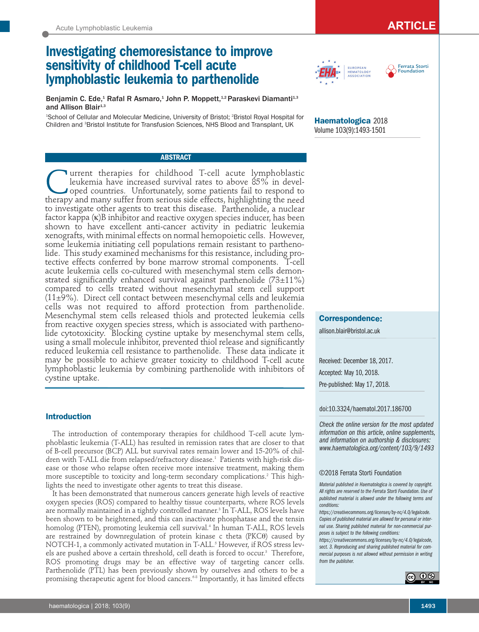# **Investigating chemoresistance to improve sensitivity of childhood T-cell acute lymphoblastic leukemia to parthenolide**

Benjamin C. Ede,<sup>1</sup> Rafal R Asmaro,<sup>1</sup> John P. Moppett,<sup>1,2</sup> Paraskevi Diamanti<sup>1,3</sup> and Allison Blair $1,3$ 

1 School of Cellular and Molecular Medicine, University of Bristol; 2 Bristol Royal Hospital for Children and <sup>3</sup>Bristol Institute for Transfusion Sciences, NHS Blood and Transplant, UK

# **ABSTRACT**

**Current therapies for childhood T-cell acute lymphoblastic** leukemia have increased survival rates to above 85% in developed countries. Unfortunately, some patients fail to respond to leukemia have increased survival rates to above 85% in developed countries. Unfortunately, some patients fail to respond to therapy and many suffer from serious side effects, highlighting the need to investigate other agents to treat this disease. Parthenolide, a nuclear factor kappa (κ)B inhibitor and reactive oxygen species inducer, has been shown to have excellent anti-cancer activity in pediatric leukemia xenografts, with minimal effects on normal hemopoietic cells. However, some leukemia initiating cell populations remain resistant to parthenolide. This study examined mechanisms for this resistance, including protective effects conferred by bone marrow stromal components. T-cell acute leukemia cells co-cultured with mesenchymal stem cells demonstrated significantly enhanced survival against parthenolide  $(73\pm11\%)$ compared to cells treated without mesenchymal stem cell support  $(11\pm9\%)$ . Direct cell contact between mesenchymal cells and leukemia cells was not required to afford protection from parthenolide. Mesenchymal stem cells released thiols and protected leukemia cells from reactive oxygen species stress, which is associated with parthenolide cytotoxicity. Blocking cystine uptake by mesenchymal stem cells, using a small molecule inhibitor, prevented thiol release and significantly reduced leukemia cell resistance to parthenolide. These data indicate it may be possible to achieve greater toxicity to childhood T-cell acute lymphoblastic leukemia by combining parthenolide with inhibitors of cystine uptake.

# **Introduction**

The introduction of contemporary therapies for childhood T-cell acute lymphoblastic leukemia (T-ALL) has resulted in remission rates that are closer to that of B-cell precursor (BCP) ALL but survival rates remain lower and 15-20% of children with T-ALL die from relapsed/refractory disease.<sup>1</sup> Patients with high-risk disease or those who relapse often receive more intensive treatment, making them more susceptible to toxicity and long-term secondary complications.<sup>2</sup> This highlights the need to investigate other agents to treat this disease.

It has been demonstrated that numerous cancers generate high levels of reactive oxygen species (ROS) compared to healthy tissue counterparts, where ROS levels are normally maintained in a tightly controlled manner.<sup>3</sup> In T-ALL, ROS levels have been shown to be heightened, and this can inactivate phosphatase and the tensin homolog (PTEN), promoting leukemia cell survival.<sup>4</sup> In human T-ALL, ROS levels are restrained by downregulation of protein kinase c theta (PKCθ) caused by NOTCH-1, a commonly activated mutation in T-ALL.<sup>5</sup> However, if ROS stress levels are pushed above a certain threshold, cell death is forced to occur.<sup>3</sup> Therefore, ROS promoting drugs may be an effective way of targeting cancer cells. Parthenolide (PTL) has been previously shown by ourselves and others to be a promising therapeutic agent for blood cancers.<sup>68</sup> Importantly, it has limited effects





**Haematologica** 2018 Volume 103(9):1493-1501

# **Correspondence:**

allison.blair@bristol.ac.uk

Received: December 18, 2017. Accepted: May 10, 2018. Pre-published: May 17, 2018.

### doi:10.3324/haematol.2017.186700

*Check the online version for the most updated information on this article, online supplements, and information on authorship & disclosures: www.haematologica.org/content/103/9/1493*

#### ©2018 Ferrata Storti Foundation

*Material published in Haematologica is covered by copyright. All rights are reserved to the Ferrata Storti Foundation. Use of published material is allowed under the following terms and conditions:* 

*https://creativecommons.org/licenses/by-nc/4.0/legalcode. Copies of published material are allowed for personal or internal use. Sharing published material for non-commercial purposes is subject to the following conditions:* 

*https://creativecommons.org/licenses/by-nc/4.0/legalcode, sect. 3. Reproducing and sharing published material for commercial purposes is not allowed without permission in writing from the publisher.*

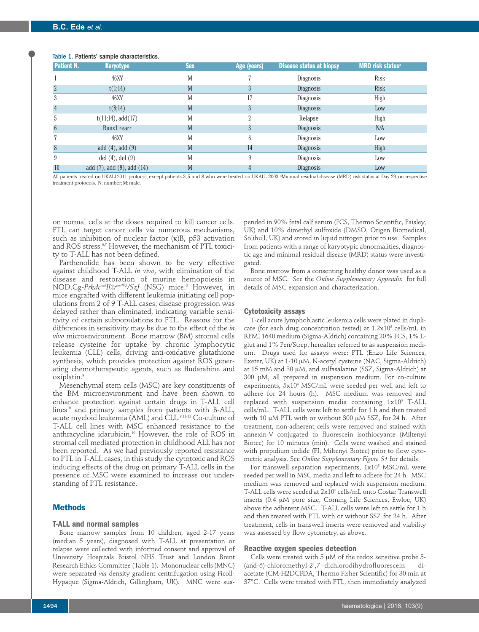# Table 1. Patients' sample characteristics.

| Patient N.      | <b>Karyotype</b>                   | <b>Sex</b> | Age (years) | <b>Disease status at biopsy</b> | <b>MRD risk status</b> <sup>a</sup> |
|-----------------|------------------------------------|------------|-------------|---------------------------------|-------------------------------------|
|                 | 46XY                               | M          |             | Diagnosis                       | Risk                                |
| $\overline{2}$  | t(1;14)                            | M          | 3           | Diagnosis                       | <b>Risk</b>                         |
| 3               | 46XY                               | M          | 17          | Diagnosis                       | High                                |
| $\overline{4}$  | t(8;14)                            | M          | 3           | Diagnosis                       | Low                                 |
| ć               | $t(11;14)$ , add $(17)$            | M          |             | Relapse                         | High                                |
| $6\phantom{.}6$ | Runx1 rearr                        | M          | 3           | Diagnosis                       | N/A                                 |
|                 | 46XY                               | M          |             | Diagnosis                       | Low                                 |
| 8               | add $(4)$ , add $(9)$              | M          | 14          | <b>Diagnosis</b>                | High                                |
| 9               | del $(4)$ , del $(9)$              | M          |             | Diagnosis                       | Low                                 |
| 10              | add $(7)$ , add $(9)$ , add $(14)$ | M          |             | Diagnosis                       | Low                                 |

All patients treated on UKALL2011 protocol, except patients 3,5 and 8 who were treated on UKALL 2003. Minimal residual disease (MRD) risk status at Day 29, on respective treatment protocols. N: number; M: male.

on normal cells at the doses required to kill cancer cells. PTL can target cancer cells *via* numerous mechanisms, such as inhibition of nuclear factor (κ)B, p53 activation and ROS stress.<sup>6,7</sup> However, the mechanism of PTL toxicity to T-ALL has not been defined.

Parthenolide has been shown to be very effective against childhood T-ALL *in vivo*, with elimination of the disease and restoration of murine hemopoiesis in NOD.Cg-*PrkdcscidIl2rtm1Wjl/SzJ* (NSG) mice.8 However, in mice engrafted with different leukemia initiating cell populations from 2 of 9 T-ALL cases, disease progression was delayed rather than eliminated, indicating variable sensitivity of certain subpopulations to PTL. Reasons for the differences in sensitivity may be due to the effect of the *in vivo* microenvironment. Bone marrow (BM) stromal cells release cysteine for uptake by chronic lymphocytic leukemia (CLL) cells, driving anti-oxidative glutathione synthesis, which provides protection against ROS generating chemotherapeutic agents, such as fludarabine and oxiplatin.9

Mesenchymal stem cells (MSC) are key constituents of the BM microenvironment and have been shown to enhance protection against certain drugs in T-ALL cell lines<sup>10</sup> and primary samples from patients with B-ALL, acute myeloid leukemia (AML) and CLL.<sup>9,11-13</sup> Co-culture of T-ALL cell lines with MSC enhanced resistance to the anthracycline idarubicin.10 However, the role of ROS in stromal cell mediated protection in childhood ALL has not been reported. As we had previously reported resistance to PTL in T-ALL cases, in this study the cytotoxic and ROS inducing effects of the drug on primary T-ALL cells in the presence of MSC were examined to increase our understanding of PTL resistance.

#### **Methods**

#### **T-ALL and normal samples**

Bone marrow samples from 10 children, aged 2-17 years (median 5 years), diagnosed with T-ALL at presentation or relapse were collected with informed consent and approval of University Hospitals Bristol NHS Trust and London Brent Research Ethics Committee (Table 1). Mononuclear cells (MNC) were separated *via* density gradient centrifugation using Ficoll-Hypaque (Sigma-Aldrich, Gillingham, UK). MNC were sus-

pended in 90% fetal calf serum (FCS, Thermo Scientific, Paisley, UK) and 10% dimethyl sulfoxide (DMSO, Origen Biomedical, Solihull, UK) and stored in liquid nitrogen prior to use. Samples from patients with a range of karyotypic abnormalities, diagnostic age and minimal residual disease (MRD) status were investigated.

Bone marrow from a consenting healthy donor was used as a source of MSC. See the *Online Supplementary Appendix* for full details of MSC expansion and characterization.

#### **Cytotoxicity assays**

T-cell acute lymphoblastic leukemia cells were plated in duplicate (for each drug concentration tested) at  $1.2x10^5$  cells/mL in RPMI 1640 medium (Sigma-Aldrich) containing 20% FCS, 1% Lglut and 1% Pen/Strep, hereafter referred to as suspension medium. Drugs used for assays were: PTL (Enzo Life Sciences, Exeter, UK) at 1-10 μM, N-acetyl cysteine (NAC, Sigma-Aldrich) at 15 mM and 30 μM, and sulfasalazine (SSZ, Sigma-Aldrich) at 300 µM, all prepared in suspension medium. For co-culture experiments, 5x104 MSC/mL were seeded per well and left to adhere for 24 hours (h). MSC medium was removed and replaced with suspension media containing  $1x10^5$  T-ALL cells/mL. T-ALL cells were left to settle for 1 h and then treated with 10 μM PTL with or without 300 μM SSZ, for 24 h. After treatment, non-adherent cells were removed and stained with annexin-V conjugated to fluorescein isothiocyante (Miltenyi Biotec) for 10 minutes (min). Cells were washed and stained with propidium iodide (PI, Miltenyi Biotec) prior to flow cytometric analysis. See *Online Supplementary Figure S1* for details.

For transwell separation experiments,  $1x10^5$  MSC/mL were seeded per well in MSC media and left to adhere for 24 h. MSC medium was removed and replaced with suspension medium. T-ALL cells were seeded at 2x10<sup>5</sup> cells/mL onto Costar Transwell inserts (0.4 μM pore size, Corning Life Sciences, Ewloe, UK) above the adherent MSC. T-ALL cells were left to settle for 1 h and then treated with PTL with or without SSZ for 24 h. After treatment, cells in transwell inserts were removed and viability was assessed by flow cytometry, as above.

#### **Reactive oxygen species detection**

Cells were treated with 5 μM of the redox sensitive probe 5- (and-6)-chloromethyl-2',7'-dichlorodihydrofluorescein diacetate (CM-H2DCFDA, Thermo Fisher Scientific) for 30 min at 37°C. Cells were treated with PTL, then immediately analyzed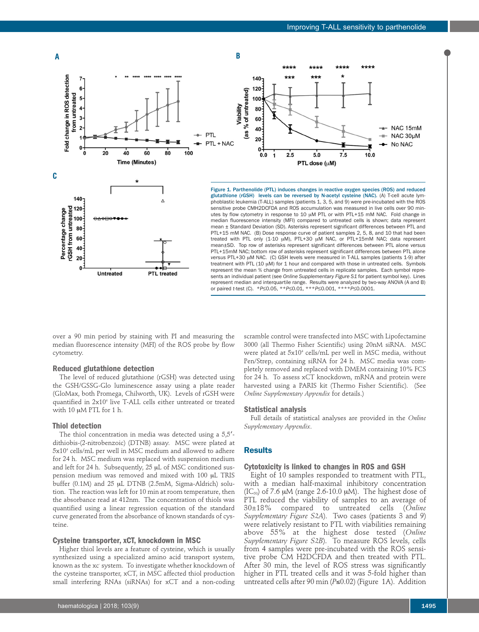



Figure 1. Parthenolide (PTL) induces changes in reactive oxygen species (ROS) and reduced glutathione (rGSH) levels can be reversed by N-acetyl cysteine (NAC). (A) T-cell acute lymphoblastic leukemia (T-ALL) samples (patients 1, 3, 5, and 9) were pre-incubated with the ROS sensitive probe CMH2DCFDA and ROS accumulation was measured in live cells over 90 minutes by flow cytometry in response to 10 μM PTL or with PTL+15 mM NAC. Fold change in median fluorescence intensity (MFI) compared to untreated cells is shown; data represent mean ± Standard Deviation (SD). Asterisks represent significant differences between PTL and PTL+15 mM NAC. (B) Dose response curve of patient samples 2, 5, 8, and 10 that had been treated with PTL only (1-10 μM), PTL+30 μM NAC, or PTL+15mM NAC; data represent mean±SD. Top row of asterisks represent significant differences between PTL alone *versus* PTL+15mM NAC; bottom row of asterisks represent significant differences between PTL alone *versus* PTL+30 μM NAC. (C) GSH levels were measured in T-ALL samples (patients 1-9) after treatment with PTL (10 μM) for 1 hour and compared with those in untreated cells. Symbols represent the mean % change from untreated cells in replicate samples. Each symbol represents an individual patient (see *Online Supplementary Figure S1* for patient symbol key). Lines represent median and interquartile range. Results were analyzed by two-way ANOVA (A and B) or paired *t*-test (C). \**P*≤0.05, \*\**P*≤0.01, \*\*\**P*≤0.001, \*\*\*\**P*≤0.0001.

over a 90 min period by staining with PI and measuring the median fluorescence intensity (MFI) of the ROS probe by flow cytometry.

**PTL** treated

# **Reduced glutathione detection**

**Untreated** 

The level of reduced glutathione (rGSH) was detected using the GSH/GSSG-Glo luminescence assay using a plate reader (GloMax, both Promega, Chilworth, UK). Levels of rGSH were quantified in 2x10<sup>4</sup> live T-ALL cells either untreated or treated with 10 μM PTL for 1 h.

# **Thiol detection**

 $\Omega$ 

The thiol concentration in media was detected using a 5,5′ dithiobis-(2-nitrobenzoic) (DTNB) assay. MSC were plated at 5x104 cells/mL per well in MSC medium and allowed to adhere for 24 h. MSC medium was replaced with suspension medium and left for 24 h. Subsequently, 25 μL of MSC conditioned suspension medium was removed and mixed with 100 μL TRIS buffer (0.1M) and 25 μL DTNB (2.5mM, Sigma-Aldrich) solution. The reaction was left for 10 min at room temperature, then the absorbance read at 412nm. The concentration of thiols was quantified using a linear regression equation of the standard curve generated from the absorbance of known standards of cysteine.

#### **Cysteine transporter, xCT, knockdown in MSC**

Higher thiol levels are a feature of cysteine, which is usually synthesized using a specialized amino acid transport system, known as the xc- system. To investigate whether knockdown of the cysteine transporter, xCT, in MSC affected thiol production small interfering RNAs (siRNAs) for xCT and a non-coding

scramble control were transfected into MSC with Lipofectamine 3000 (all Thermo Fisher Scientific) using 20nM siRNA. MSC were plated at 5x10<sup>4</sup> cells/mL per well in MSC media, without Pen/Strep, containing siRNA for 24 h. MSC media was completely removed and replaced with DMEM containing 10% FCS for 24 h. To assess xCT knockdown, mRNA and protein were harvested using a PARIS kit (Thermo Fisher Scientific). (See *Online Supplementary Appendix* for details.)

### **Statistical analysis**

Full details of statistical analyses are provided in the *Online Supplementary Appendix*.

#### **Results**

#### **Cytotoxicity is linked to changes in ROS and GSH**

Eight of 10 samples responded to treatment with PTL, with a median half-maximal inhibitory concentration (IC<sub>50</sub>) of 7.6  $\mu$ M (range 2.6-10.0  $\mu$ M). The highest dose of PTL reduced the viability of samples to an average of 30±18% compared to untreated cells (*Online Supplementary Figure S2A*). Two cases (patients 3 and 9) were relatively resistant to PTL with viabilities remaining above 55% at the highest dose tested (*Online Supplementary Figure S2B*). To measure ROS levels, cells from 4 samples were pre-incubated with the ROS sensitive probe CM H2DCFDA and then treated with PTL. After 30 min, the level of ROS stress was significantly higher in PTL treated cells and it was 5-fold higher than untreated cells after 90 min (*P*≤0.02) (Figure 1A). Addition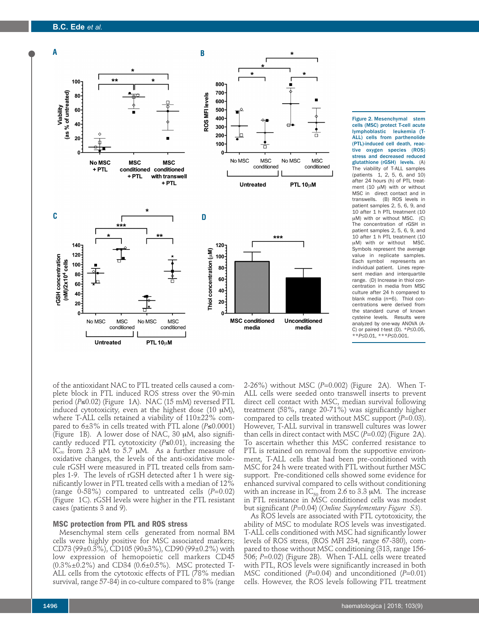# **B.C. Ede** *et al.*



Figure 2. Mesenchymal stem cells (MSC) protect T-cell acute lymphoblastic leukemia (T-ALL) cells from parthenolide (PTL)-induced cell death, reactive oxygen species (ROS) stress and decreased reduced glutathione (rGSH) levels. (A) The viability of T-ALL samples  $(patients 1, 2, 5, 6, and 10)$ after 24 hours (h) of PTL treatment (10 μM) with or without MSC in direct contact and in transwells. (B) ROS levels in patient samples 2, 5, 6, 9, and 10 after 1 h PTL treatment (10 μM) with or without MSC. (C) The concentration of rGSH in patient samples 2, 5, 6, 9, and 10 after 1 h PTL treatment (10 μM) with or without MSC. Symbols represent the average value in replicate samples. Each symbol represents an individual patient. Lines represent median and interquartile range. (D) Increase in thiol concentration in media from MSC culture after 24 h compared to blank media (n=6). Thiol concentrations were derived from the standard curve of known cysteine levels. Results were analyzed by one-way ANOVA (A-C) or paired *t*-test (D). \**P*≤0.05, \*\**P*≤0.01, \*\*\**P*≤0.001.

of the antioxidant NAC to PTL treated cells caused a complete block in PTL induced ROS stress over the 90-min period (*P*≤0.02) (Figure 1A). NAC (15 mM) reversed PTL induced cytotoxicity, even at the highest dose (10 μM), where T-ALL cells retained a viability of 110±22% compared to  $6±3\%$  in cells treated with PTL alone ( $P≤0.0001$ ) (Figure 1B). A lower dose of NAC, 30 μM, also significantly reduced PTL cytotoxicity (*P*≤0.01), increasing the IC<sub>50</sub> from 2.3 μM to 5.7 μM. As a further measure of oxidative changes, the levels of the anti-oxidative molecule rGSH were measured in PTL treated cells from samples 1-9. The levels of rGSH detected after 1 h were significantly lower in PTL treated cells with a median of 12% (range 0-58%) compared to untreated cells (*P*=0.02) (Figure 1C). rGSH levels were higher in the PTL resistant cases (patients 3 and 9).

#### **MSC protection from PTL and ROS stress**

Mesenchymal stem cells generated from normal BM cells were highly positive for MSC associated markers; CD73 (99±0.3%), CD105 (90±3%), CD90 (99±0.2%) with low expression of hemopoietic cell markers CD45 (0.3%±0.2%) and CD34 (0.6±0.5%). MSC protected T-ALL cells from the cytotoxic effects of PTL (78% median survival, range 57-84) in co-culture compared to 8% (range 2-26%) without MSC (*P*=0.002) (Figure 2A). When T-ALL cells were seeded onto transwell inserts to prevent direct cell contact with MSC, median survival following treatment (58%, range 20-71%) was significantly higher compared to cells treated without MSC support (*P*=0.03). However, T-ALL survival in transwell cultures was lower than cells in direct contact with MSC (*P*=0.02) (Figure 2A). To ascertain whether this MSC conferred resistance to PTL is retained on removal from the supportive environment, T-ALL cells that had been pre-conditioned with MSC for 24 h were treated with PTL without further MSC support. Pre-conditioned cells showed some evidence for enhanced survival compared to cells without conditioning with an increase in  $IC_{50}$  from 2.6 to 3.3 µM. The increase in PTL resistance in MSC conditioned cells was modest but significant (*P*=0.04) (*Online Supplementary Figure S3*).

As ROS levels are associated with PTL cytotoxicity, the ability of MSC to modulate ROS levels was investigated. T-ALL cells conditioned with MSC had significantly lower levels of ROS stress, (ROS MFI 234, range 67-380), compared to those without MSC conditioning (313, range 156- 506; *P*=0.02) (Figure 2B). When T-ALL cells were treated with PTL, ROS levels were significantly increased in both MSC conditioned (*P*=0.04) and unconditioned (*P*=0.01) cells. However, the ROS levels following PTL treatment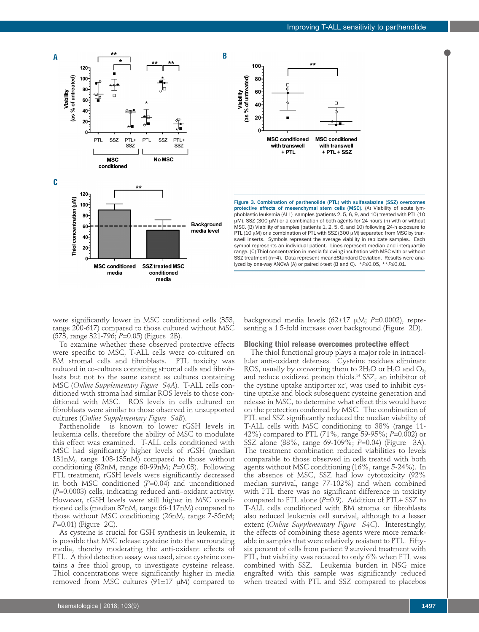protective effects of mesenchymal stem cells (MSC). (A) Viability of acute lymphoblastic leukemia (ALL) samples (patients 2, 5, 6, 9, and 10) treated with PTL (10 μM), SSZ (300 μM) or a combination of both agents for 24 hours (h) with or without MSC. (B) Viability of samples (patients 1, 2, 5, 6, and 10) following 24-h exposure to PTL (10 μM) or a combination of PTL with SSZ (300 μM) separated from MSC by transwell inserts. Symbols represent the average viability in replicate samples. Each symbol represents an individual patient. Lines represent median and interquartile range. (C) Thiol concentration in media following incubation with MSC with or without SSZ treatment (n=4). Data represent mean±Standard Deviation. Results were ana-lyzed by one-way ANOVA (A) or paired *t*-test (B and C). \**P*≤0.05, \*\**P*≤0.01.

Figure 3. Combination of parthenolide (PTL) with sulfasalazine (SSZ) overcomes

**MSC conditioned** 

with transwell

 $+$  PTL  $+$  SSZ

 $100 -$ 

80

60

40

20

O

**MSC** conditioned

with transwell

 $+$  PTL

Viability<br>(as % of untreated)

were significantly lower in MSC conditioned cells (353, range 200-617) compared to those cultured without MSC (573, range 321-796; *P*=0.05) (Figure 2B).

media

To examine whether these observed protective effects were specific to MSC, T-ALL cells were co-cultured on BM stromal cells and fibroblasts. PTL toxicity was reduced in co-cultures containing stromal cells and fibroblasts but not to the same extent as cultures containing MSC (*Online Supplementary Figure S4A*). T-ALL cells conditioned with stroma had similar ROS levels to those conditioned with MSC. ROS levels in cells cultured on fibroblasts were similar to those observed in unsupported cultures (*Online Supplementary Figure S4B*).

Parthenolide is known to lower rGSH levels in leukemia cells, therefore the ability of MSC to modulate this effect was examined. T-ALL cells conditioned with MSC had significantly higher levels of rGSH (median 131nM, range 108-135nM) compared to those without conditioning (82nM, range 60-99nM; *P*=0.03). Following PTL treatment, rGSH levels were significantly decreased in both MSC conditioned (*P*=0.04) and unconditioned (*P*=0.0003) cells, indicating reduced anti–oxidant activity. However, rGSH levels were still higher in MSC conditioned cells (median 87nM, range 66-117nM) compared to those without MSC conditioning (26nM, range 7-35nM; *P*=0.01) (Figure 2C).

As cysteine is crucial for GSH synthesis in leukemia, it is possible that MSC release cysteine into the surrounding media, thereby moderating the anti-oxidant effects of PTL. A thiol detection assay was used, since cysteine contains a free thiol group, to investigate cysteine release. Thiol concentrations were significantly higher in media removed from MSC cultures (91±17 μM) compared to

#### **Blocking thiol release overcomes protective effect**

background media levels (62±17 μM; *P*=0.0002), representing a 1.5-fold increase over background (Figure 2D).

The thiol functional group plays a major role in intracellular anti-oxidant defenses. Cysteine residues eliminate ROS, usually by converting them to  $2H_2O$  or  $H_2O$  and  $O_2$ , and reduce oxidized protein thiols.14 SSZ, an inhibitor of the cystine uptake antiporter xc- , was used to inhibit cystine uptake and block subsequent cysteine generation and release in MSC, to determine what effect this would have on the protection conferred by MSC. The combination of PTL and SSZ significantly reduced the median viability of T-ALL cells with MSC conditioning to 38% (range 11- 42%) compared to PTL (71%, range 59-95%; *P*=0.002) or SSZ alone (88%, range 69-109%; *P*=0.04) (Figure 3A). The treatment combination reduced viabilities to levels comparable to those observed in cells treated with both agents without MSC conditioning (16%, range 5-24%). In the absence of MSC, SSZ had low cytotoxicity (92% median survival, range 77-102%) and when combined with PTL there was no significant difference in toxicity compared to PTL alone  $(P=0.9)$ . Addition of PTL+ SSZ to T-ALL cells conditioned with BM stroma or fibroblasts also reduced leukemia cell survival, although to a lesser extent (*Online Supplementary Figure S4C*). Interestingly, the effects of combining these agents were more remarkable in samples that were relatively resistant to PTL. Fiftysix percent of cells from patient 9 survived treatment with PTL, but viability was reduced to only 6% when PTL was combined with SSZ. Leukemia burden in NSG mice engrafted with this sample was significantly reduced when treated with PTL and SSZ compared to placebos

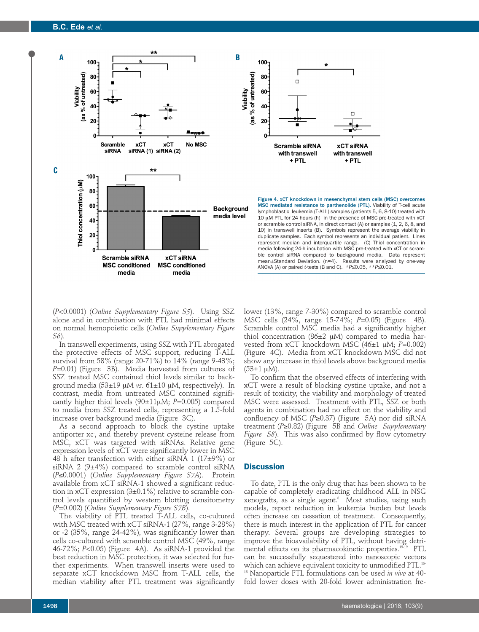



(*P*<0.0001) (*Online Supplementary Figure S5*). Using SSZ alone and in combination with PTL had minimal effects on normal hemopoietic cells (*Online Supplementary Figure S6*).

In transwell experiments, using SSZ with PTL abrogated the protective effects of MSC support, reducing T-ALL survival from 58% (range 20-71%) to 14% (range 9-43%; *P*=0.01) (Figure 3B). Media harvested from cultures of SSZ treated MSC contained thiol levels similar to background media (53±19 μM *vs*. 61±10 μM, respectively). In contrast, media from untreated MSC contained significantly higher thiol levels (90±11μM; *P*=0.005) compared to media from SSZ treated cells, representing a 1.5-fold increase over background media (Figure 3C).

As a second approach to block the cystine uptake antiporter xc , and thereby prevent cysteine release from MSC, xCT was targeted with siRNAs. Relative gene expression levels of xCT were significantly lower in MSC 48 h after transfection with either siRNA 1 (17 $\pm$ 9%) or siRNA 2  $(9\pm4\%)$  compared to scramble control siRNA (*P*≤0.0001) (*Online Supplementary Figure S7A*). Protein available from xCT siRNA-1 showed a significant reduction in xCT expression (3±0.1%) relative to scramble control levels quantified by western blotting densitometry (*P*=0.002) (*Online Supplementary Figure S7B*).

The viability of PTL treated T-ALL cells, co-cultured with MSC treated with xCT siRNA-1 (27%, range 3-28%) or -2 (35%, range 24-42%), was significantly lower than cells co-cultured with scramble control MSC (49%, range 46-72%; *P*<0.05) (Figure 4A). As siRNA-1 provided the best reduction in MSC protection, it was selected for further experiments. When transwell inserts were used to separate xCT knockdown MSC from T-ALL cells, the median viability after PTL treatment was significantly

lower (13%, range 7-30%) compared to scramble control MSC cells (24%, range 15-74%; *P*=0.05) (Figure 4B). Scramble control MSC media had a significantly higher thiol concentration (86 $±2$  μM) compared to media harvested from xCT knockdown MSC (46±1 μM; *P*=0.002) (Figure 4C). Media from xCT knockdown MSC did not show any increase in thiol levels above background media  $(53\pm1 \mu M)$ .

ANOVA (A) or paired *t*-tests (B and C). \**P*≤0.05, \*\**P*≤0.01.

To confirm that the observed effects of interfering with xCT were a result of blocking cystine uptake, and not a result of toxicity, the viability and morphology of treated MSC were assessed. Treatment with PTL, SSZ or both agents in combination had no effect on the viability and confluency of MSC (*P*≥0.37) (Figure 5A) nor did siRNA treatment (*P*≥0.82) (Figure 5B and *Online Supplementary Figure S8*). This was also confirmed by flow cytometry (Figure 5C).

### **Discussion**

 $100<sub>7</sub>$ 

80

60

 $\Box$ 

To date, PTL is the only drug that has been shown to be capable of completely eradicating childhood ALL in NSG xenografts, as a single agent.8 Most studies, using such models, report reduction in leukemia burden but levels often increase on cessation of treatment. Consequently, there is much interest in the application of PTL for cancer therapy. Several groups are developing strategies to improve the bioavailability of PTL, without having detrimental effects on its pharmacokinetic properties.<sup>15-19</sup> PTL can be successfully sequestered into nanoscopic vectors which can achieve equivalent toxicity to unmodified PTL.<sup>16</sup> <sup>18</sup> Nanoparticle PTL formulations can be used *in vivo* at 40 fold lower doses with 20-fold lower administration fre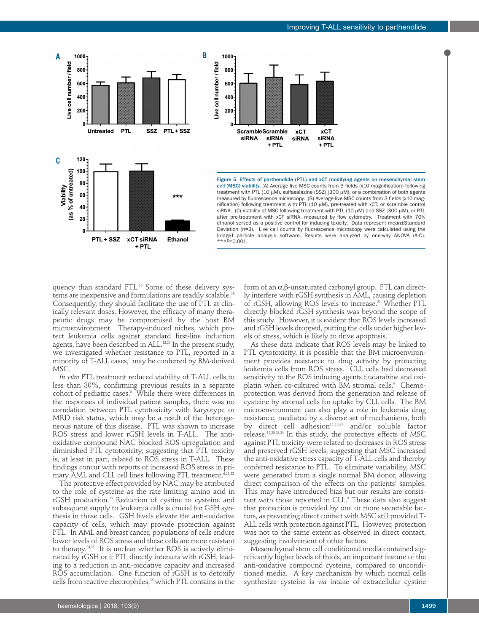nification) following treatment with PTL (10 μM), pre-treated with xCT, or scramble control siRNA. (C) Viability of MSC following treatment with PTL (10 μM) and SSZ (300 μM), or PTL after pre-treatment with xCT siRNA, measured by flow cytometry. Treatment with 70% ethanol served as a positive control for inducing toxicity. Data represent mean±Standard Deviation (n=3). Live cell counts by fluorescence microscopy were calculated using the ImageJ particle analysis software. Results were analyzed by one-way ANOVA (A-C). \*\*\**P*≤0.001.

quency than standard PTL.<sup>16</sup> Some of these delivery systems are inexpensive and formulations are readily scalable.18 Consequently, they should facilitate the use of PTL at clinically relevant doses. However, the efficacy of many therapeutic drugs may be compromised by the host BM microenvironment. Therapy-induced niches, which protect leukemia cells against standard first-line induction agents, have been described in ALL.<sup>12,20</sup> In the present study, we investigated whether resistance to PTL, reported in a minority of T-ALL cases,<sup>8</sup> may be conferred by BM-derived MSC.

+ PTL

**Ethanol** 

PTL + SSZ xCT siRNA

**C**

Viability<br>(as % of untreated)

Live cell number / field

800

600

400

200

 $120 100 -$ 

**Untreated** 

*In vitro* PTL treatment reduced viability of T-ALL cells to less than 30%, confirming previous results in a separate cohort of pediatric cases.<sup>8</sup> While there were differences in the responses of individual patient samples, there was no correlation between PTL cytotoxicity with karyotype or MRD risk status, which may be a result of the heterogeneous nature of this disease. PTL was shown to increase ROS stress and lower rGSH levels in T-ALL. The antioxidative compound NAC blocked ROS upregulation and diminished PTL cytotoxicity, suggesting that PTL toxicity is, at least in part, related to ROS stress in T-ALL. These findings concur with reports of increased ROS stress in primary AML and CLL cell lines following PTL treatment.<sup>6,21,22</sup>

The protective effect provided by NAC may be attributed to the role of cysteine as the rate limiting amino acid in rGSH production.23 Reduction of cystine to cysteine and subsequent supply to leukemia cells is crucial for GSH synthesis in these cells. GSH levels elevate the anti-oxidative capacity of cells, which may provide protection against PTL. In AML and breast cancer, populations of cells endure lower levels of ROS stress and these cells are more resistant to therapy.<sup>24,25</sup> It is unclear whether ROS is actively eliminated by rGSH or if PTL directly interacts with rGSH, leading to a reduction in anti-oxidative capacity and increased ROS accumulation. One function of rGSH is to detoxify cells from reactive electrophiles,<sup>26</sup> which PTL contains in the

form of an a,β-unsaturated carbonyl group. PTL can directly interfere with rGSH synthesis in AML, causing depletion of rGSH, allowing ROS levels to increase.<sup>21</sup> Whether PTL directly blocked rGSH synthesis was beyond the scope of this study. However, it is evident that ROS levels increased and rGSH levels dropped, putting the cells under higher levels of stress, which is likely to drive apoptosis.

As these data indicate that ROS levels may be linked to PTL cytotoxicity, it is possible that the BM microenvironment provides resistance to drug activity by protecting leukemia cells from ROS stress. CLL cells had decreased sensitivity to the ROS inducing agents fludarabine and oxiplatin when co-cultured with BM stromal cells.<sup>9</sup> Chemoprotection was derived from the generation and release of cysteine by stromal cells for uptake by CLL cells. The BM microenvironment can also play a role in leukemia drug resistance, mediated by a diverse set of mechanisms, both by direct cell adhesion<sup>11,13,27</sup> and/or soluble factor release.12,20,28,29 In this study, the protective effects of MSC against PTL toxicity were related to decreases in ROS stress and preserved rGSH levels, suggesting that MSC increased the anti-oxidative stress capacity of T-ALL cells and thereby conferred resistance to PTL. To eliminate variability, MSC were generated from a single normal BM donor, allowing direct comparison of the effects on the patients' samples. This may have introduced bias but our results are consistent with those reported in CLL.<sup>9</sup> These data also suggest that protection is provided by one or more secretable factors, as preventing direct contact with MSC still provided T-ALL cells with protection against PTL. However, protection was not to the same extent as observed in direct contact, suggesting involvement of other factors.

Mesenchymal stem cell conditioned media contained significantly higher levels of thiols, an important feature of the anti-oxidative compound cysteine, compared to unconditioned media. A key mechanism by which normal cells synthesize cysteine is *via* intake of extracellular cystine

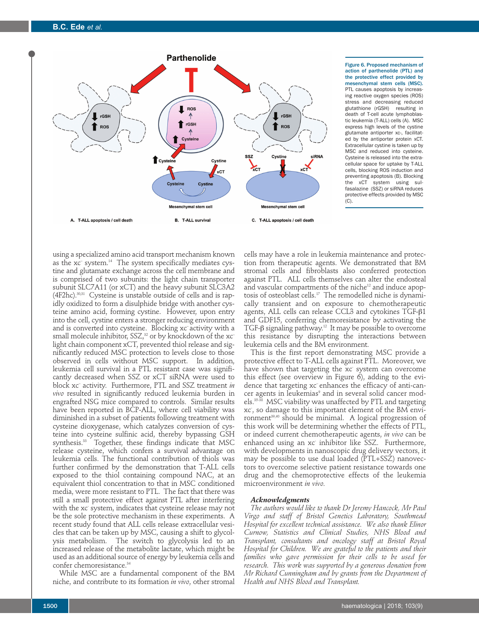**B.C. Ede** *et al.*



Figure 6. Proposed mechanism of action of parthenolide (PTL) and the protective effect provided by mesenchymal stem cells (MSC). PTL causes apoptosis by increasing reactive oxygen species (ROS) stress and decreasing reduced glutathione (rGSH) resulting in death of T-cell acute lymphoblastic leukemia (T-ALL) cells (A). MSC express high levels of the cystine glutamate antiporter xc-, facilitated by the antiporter protein xCT. Extracellular cystine is taken up by MSC and reduced into cysteine. Cysteine is released into the extracellular space for uptake by T-ALL cells, blocking ROS induction and preventing apoptosis (B). Blocking the xCT system using sulfasalazine (SSZ) or siRNA reduces protective effects provided by MSC (C).

using a specialized amino acid transport mechanism known as the xc– system.14 The system specifically mediates cystine and glutamate exchange across the cell membrane and is comprised of two subunits: the light chain transporter subunit SLC7A11 (or xCT) and the heavy subunit SLC3A2 (4F2hc).30,31 Cysteine is unstable outside of cells and is rapidly oxidized to form a disulphide bridge with another cysteine amino acid, forming cystine. However, upon entry into the cell, cystine enters a stronger reducing environment and is converted into cysteine. Blocking xc– activity with a small molecule inhibitor, SSZ,<sup>32</sup> or by knockdown of the xc<sup>-</sup> light chain component xCT, prevented thiol release and significantly reduced MSC protection to levels close to those observed in cells without MSC support. In addition, leukemia cell survival in a PTL resistant case was significantly decreased when SSZ or xCT siRNA were used to block xc– activity. Furthermore, PTL and SSZ treatment *in vivo* resulted in significantly reduced leukemia burden in engrafted NSG mice compared to controls. Similar results have been reported in BCP-ALL, where cell viability was diminished in a subset of patients following treatment with cysteine dioxygenase, which catalyzes conversion of cysteine into cysteine sulfinic acid, thereby bypassing GSH synthesis.33 Together, these findings indicate that MSC release cysteine, which confers a survival advantage on leukemia cells. The functional contribution of thiols was further confirmed by the demonstration that T-ALL cells exposed to the thiol containing compound NAC, at an equivalent thiol concentration to that in MSC conditioned media, were more resistant to PTL. The fact that there was still a small protective effect against PTL after interfering with the xc- system, indicates that cysteine release may not be the sole protective mechanism in these experiments. A recent study found that ALL cells release extracellular vesicles that can be taken up by MSC, causing a shift to glycolysis metabolism. The switch to glycolysis led to an increased release of the metabolite lactate, which might be used as an additional source of energy by leukemia cells and confer chemoresistance.<sup>34</sup>

While MSC are a fundamental component of the BM niche, and contribute to its formation *in vivo*, other stromal

cells may have a role in leukemia maintenance and protection from therapeutic agents. We demonstrated that BM stromal cells and fibroblasts also conferred protection against PTL. ALL cells themselves can alter the endosteal and vascular compartments of the niche<sup>12</sup> and induce apoptosis of osteoblast cells.17 The remodelled niche is dynamically transient and on exposure to chemotherapeutic agents, ALL cells can release CCL3 and cytokines TGF-β1 and GDF15, conferring chemoresistance by activating the TGF-β signaling pathway.12 It may be possible to overcome this resistance by disrupting the interactions between leukemia cells and the BM environment.

This is the first report demonstrating MSC provide a protective effect to T-ALL cells against PTL. Moreover, we have shown that targeting the xc- system can overcome this effect (see overview in Figure 6), adding to the evidence that targeting xc– enhances the efficacy of anti-cancer agents in leukemias<sup>9</sup> and in several solid cancer models.35-38 MSC viability was unaffected by PTL and targeting xc- , so damage to this important element of the BM environment<sup>39,40</sup> should be minimal. A logical progression of this work will be determining whether the effects of PTL, or indeed current chemotherapeutic agents, *in vivo* can be enhanced using an xc- inhibitor like SSZ. Furthermore, with developments in nanoscopic drug delivery vectors, it may be possible to use dual loaded (PTL+SSZ) nanovectors to overcome selective patient resistance towards one drug and the chemoprotective effects of the leukemia microenvironment *in vivo.*

#### *Acknowledgments*

*The authors would like to thank Dr Jeremy Hancock, Mr Paul Virgo and staff of Bristol Genetics Laboratory, Southmead Hospital for excellent technical assistance. We also thank Elinor Curnow, Statistics and Clinical Studies, NHS Blood and Transplant, consultants and oncology staff at Bristol Royal Hospital for Children. We are grateful to the patients and their families who gave permission for their cells to be used for research. This work was supported by a generous donation from Mr Richard Cunningham and by grants from the Department of Health and NHS Blood and Transplant.*